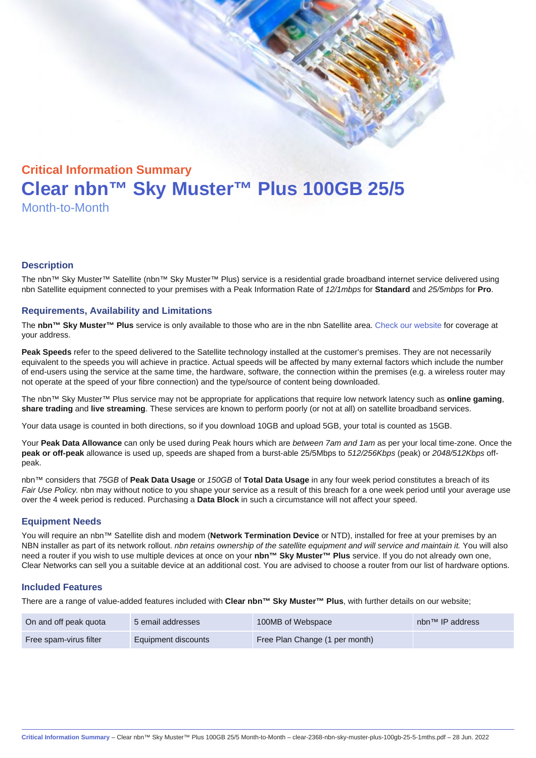# Critical Information Summary Clear nbn™ Sky Muster™ Plus 100GB 25/5 Month-to-Month

#### **Description**

The nbn™ Sky Muster™ Satellite (nbn™ Sky Muster™ Plus) service is a residential grade broadband internet service delivered using nbn Satellite equipment connected to your premises with a Peak Information Rate of 12/1mbps for Standard and 25/5mbps for Pro.

#### Requirements, Availability and Limitations

The nbn™ Sky Muster™ Plus service is only available to those who are in the nbn Satellite area. [Check our website](https://www.clear.com.au/residential/nbn-sky-muster/availability-coverage/) for coverage at your address.

Peak Speeds refer to the speed delivered to the Satellite technology installed at the customer's premises. They are not necessarily equivalent to the speeds you will achieve in practice. Actual speeds will be affected by many external factors which include the number of end-users using the service at the same time, the hardware, software, the connection within the premises (e.g. a wireless router may not operate at the speed of your fibre connection) and the type/source of content being downloaded.

The nbn™ Sky Muster™ Plus service may not be appropriate for applications that require low network latency such as online gaming , share trading and live streaming . These services are known to perform poorly (or not at all) on satellite broadband services.

Your data usage is counted in both directions, so if you download 10GB and upload 5GB, your total is counted as 15GB.

Your Peak Data Allowance can only be used during Peak hours which are between 7am and 1am as per your local time-zone. Once the peak or off-peak allowance is used up, speeds are shaped from a burst-able 25/5Mbps to 512/256Kbps (peak) or 2048/512Kbps offpeak.

nbn™ considers that 75GB of Peak Data Usage or 150GB of Total Data Usage in any four week period constitutes a breach of its Fair Use Policy. nbn may without notice to you shape your service as a result of this breach for a one week period until your average use over the 4 week period is reduced. Purchasing a Data Block in such a circumstance will not affect your speed.

#### Equipment Needs

You will require an nbn™ Satellite dish and modem (Network Termination Device or NTD), installed for free at your premises by an NBN installer as part of its network rollout. nbn retains ownership of the satellite equipment and will service and maintain it. You will also need a router if you wish to use multiple devices at once on your nbn™ Sky Muster™ Plus service. If you do not already own one, Clear Networks can sell you a suitable device at an additional cost. You are advised to choose a router from our list of hardware options.

#### Included Features

There are a range of value-added features included with Clear nbn™ Sky Muster™ Plus , with further details on our website;

| On and off peak quota  | 5 email addresses   | 100MB of Webspace              | nbn <sup>™</sup> IP address |
|------------------------|---------------------|--------------------------------|-----------------------------|
| Free spam-virus filter | Equipment discounts | Free Plan Change (1 per month) |                             |